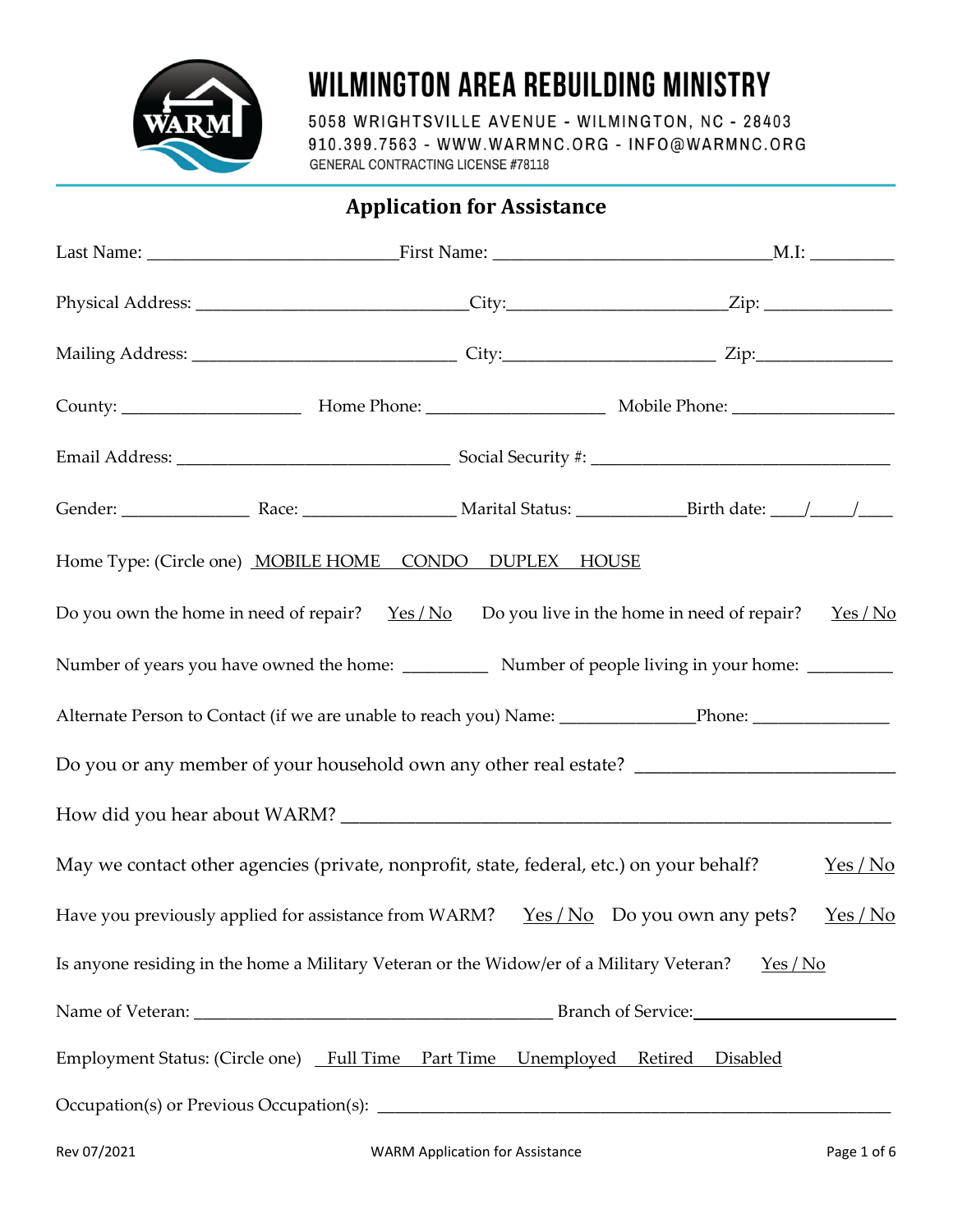

# **WILMINGTON AREA REBUILDING MINISTRY**

5058 WRIGHTSVILLE AVENUE - WILMINGTON, NC - 28403 910.399.7563 - WWW.WARMNC.ORG - INFO@WARMNC.ORG **GENERAL CONTRACTING LICENSE #78118** 

**Application for Assistance**

|                                                                                            | Physical Address: _____________________________City:______________________Zip: _____________________          |          |
|--------------------------------------------------------------------------------------------|---------------------------------------------------------------------------------------------------------------|----------|
|                                                                                            |                                                                                                               |          |
|                                                                                            |                                                                                                               |          |
|                                                                                            |                                                                                                               |          |
|                                                                                            |                                                                                                               |          |
| Home Type: (Circle one) MOBILE HOME CONDO DUPLEX HOUSE                                     |                                                                                                               |          |
| Do you own the home in need of repair? $Yes/No$ Do you live in the home in need of repair? |                                                                                                               | $Yes/No$ |
|                                                                                            |                                                                                                               |          |
|                                                                                            | Alternate Person to Contact (if we are unable to reach you) Name: _____________Phone: _______________________ |          |
|                                                                                            |                                                                                                               |          |
|                                                                                            |                                                                                                               |          |
| May we contact other agencies (private, nonprofit, state, federal, etc.) on your behalf?   |                                                                                                               | $Yes/No$ |
| Have you previously applied for assistance from WARM? $Yes/No$ Do you own any pets?        |                                                                                                               | Yes/No   |
| Is anyone residing in the home a Military Veteran or the Widow/er of a Military Veteran?   | Yes/No                                                                                                        |          |
|                                                                                            | Branch of Service:                                                                                            |          |
| Employment Status: (Circle one) Full Time Part Time Unemployed Retired Disabled            |                                                                                                               |          |
|                                                                                            |                                                                                                               |          |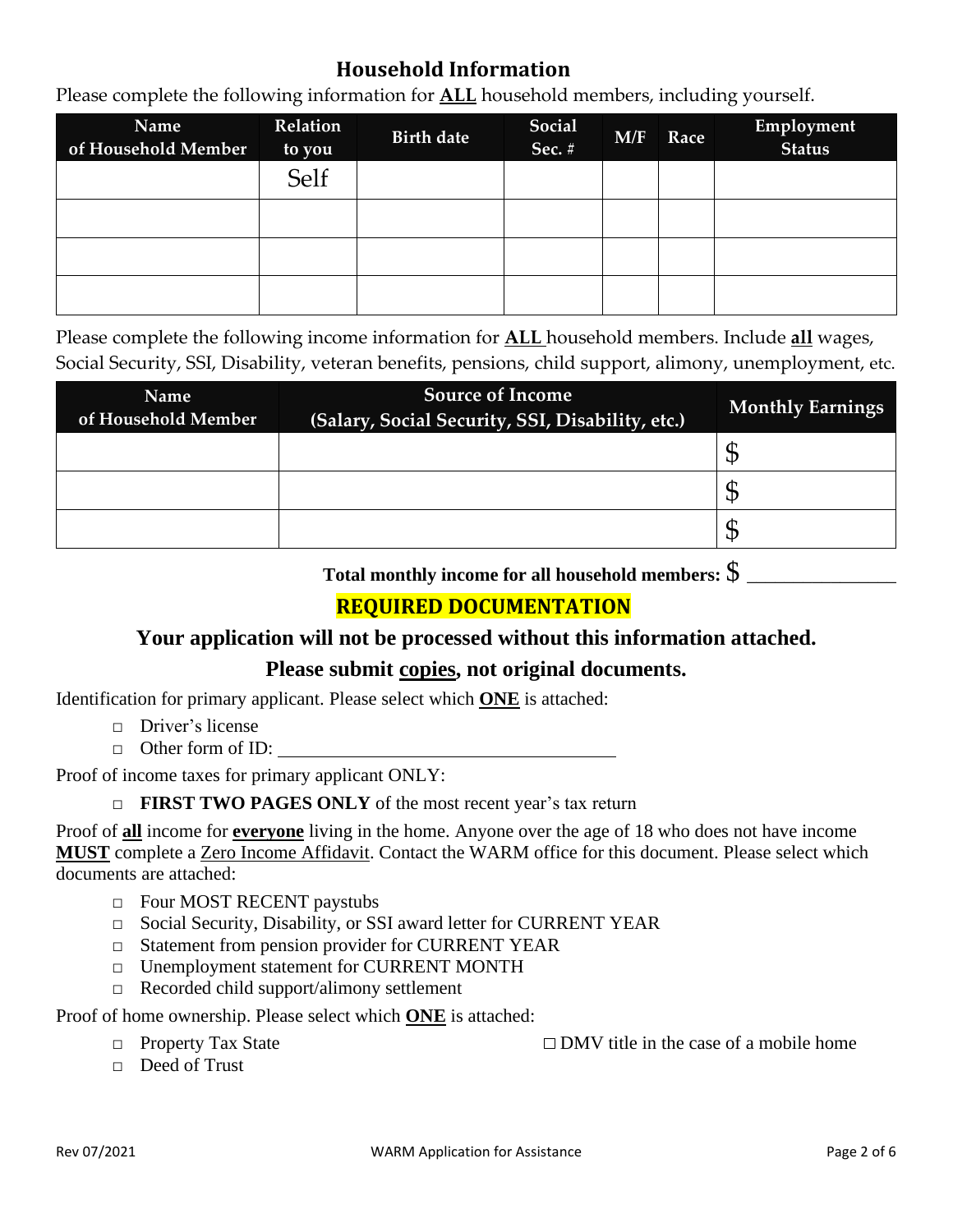## **Household Information**

Please complete the following information for **ALL** household members, including yourself.

| Name<br>of Household Member | Relation<br>to you | <b>Birth date</b> | Social<br>Sec. # | M/F | Race | Employment<br>Status |
|-----------------------------|--------------------|-------------------|------------------|-----|------|----------------------|
|                             | Self               |                   |                  |     |      |                      |
|                             |                    |                   |                  |     |      |                      |
|                             |                    |                   |                  |     |      |                      |
|                             |                    |                   |                  |     |      |                      |

Please complete the following income information for **ALL** household members. Include **all** wages, Social Security, SSI, Disability, veteran benefits, pensions, child support, alimony, unemployment, etc.

| Name<br>of Household Member | <b>Source of Income</b><br>(Salary, Social Security, SSI, Disability, etc.) | <b>Monthly Earnings</b> |
|-----------------------------|-----------------------------------------------------------------------------|-------------------------|
|                             |                                                                             | D                       |
|                             |                                                                             | ۰D                      |
|                             |                                                                             | D                       |

**Total monthly income for all household members:** \$ \_\_\_\_\_\_\_\_\_\_\_\_\_\_\_\_

# **REQUIRED DOCUMENTATION**

### **Your application will not be processed without this information attached.**

### **Please submit copies, not original documents.**

Identification for primary applicant. Please select which **ONE** is attached:

- □ Driver's license
- □ Other form of ID:

Proof of income taxes for primary applicant ONLY:

#### □ **FIRST TWO PAGES ONLY** of the most recent year's tax return

Proof of **all** income for **everyone** living in the home. Anyone over the age of 18 who does not have income **MUST** complete a Zero Income Affidavit. Contact the WARM office for this document. Please select which documents are attached:

- □ Four MOST RECENT paystubs
- □ Social Security, Disability, or SSI award letter for CURRENT YEAR
- □ Statement from pension provider for CURRENT YEAR
- □ Unemployment statement for CURRENT MONTH
- $\Box$  Recorded child support/alimony settlement

Proof of home ownership. Please select which **ONE** is attached:

□ Property Tax State DMV title in the case of a mobile home

□ Deed of Trust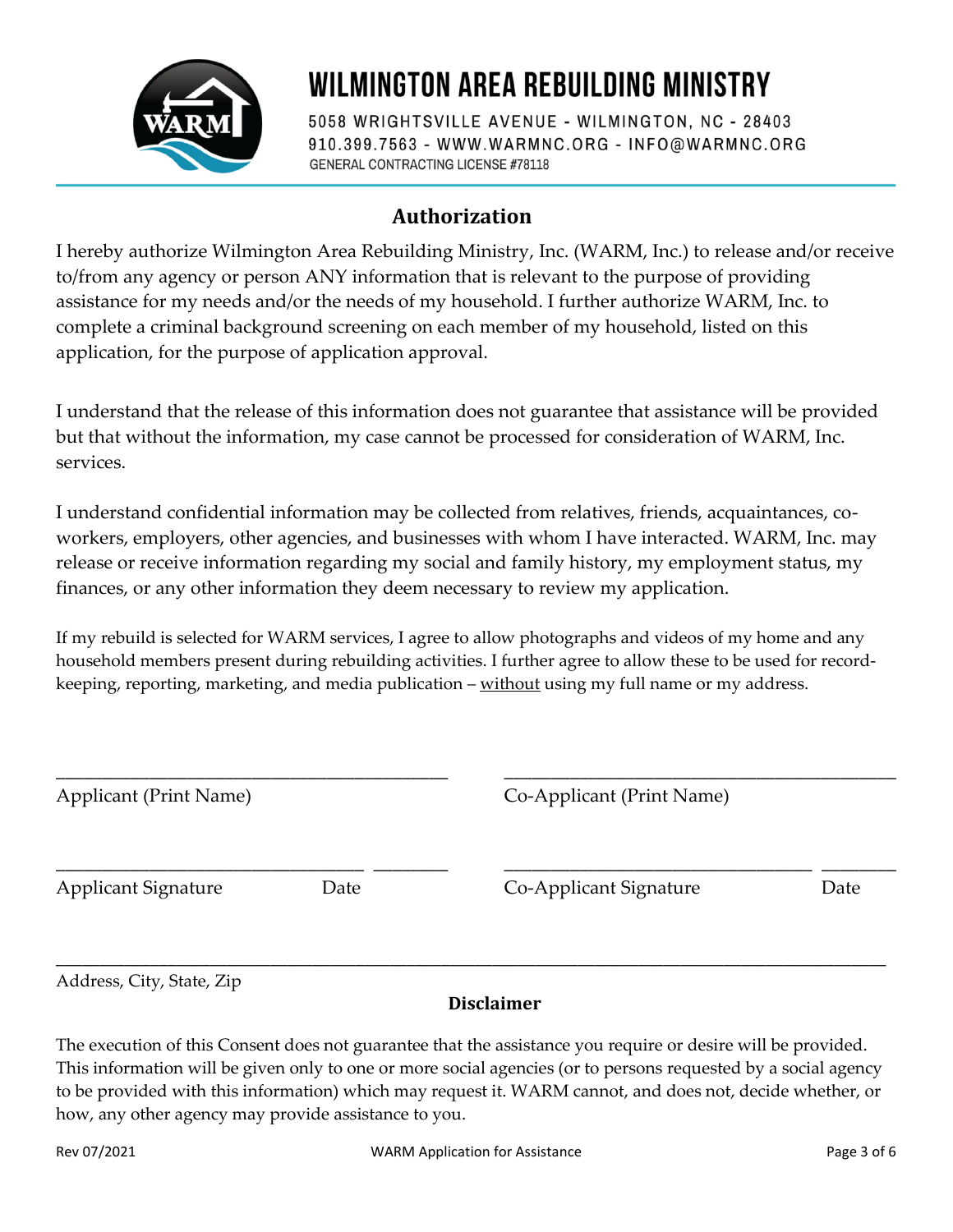

# **WILMINGTON AREA REBUILDING MINISTRY**

5058 WRIGHTSVILLE AVENUE - WILMINGTON, NC - 28403 910.399.7563 - WWW.WARMNC.ORG - INFO@WARMNC.ORG **GENERAL CONTRACTING LICENSE #78118** 

# **Authorization**

I hereby authorize Wilmington Area Rebuilding Ministry, Inc. (WARM, Inc.) to release and/or receive to/from any agency or person ANY information that is relevant to the purpose of providing assistance for my needs and/or the needs of my household. I further authorize WARM, Inc. to complete a criminal background screening on each member of my household, listed on this application, for the purpose of application approval.

I understand that the release of this information does not guarantee that assistance will be provided but that without the information, my case cannot be processed for consideration of WARM, Inc. services.

I understand confidential information may be collected from relatives, friends, acquaintances, coworkers, employers, other agencies, and businesses with whom I have interacted. WARM, Inc. may release or receive information regarding my social and family history, my employment status, my finances, or any other information they deem necessary to review my application.

If my rebuild is selected for WARM services, I agree to allow photographs and videos of my home and any household members present during rebuilding activities. I further agree to allow these to be used for recordkeeping, reporting, marketing, and media publication – without using my full name or my address.

| <b>Applicant (Print Name)</b>      |  | Co-Applicant (Print Name) |      |  |
|------------------------------------|--|---------------------------|------|--|
| <b>Applicant Signature</b><br>Date |  | Co-Applicant Signature    | Date |  |
| Address, City, State, Zip          |  |                           |      |  |

### **Disclaimer**

The execution of this Consent does not guarantee that the assistance you require or desire will be provided. This information will be given only to one or more social agencies (or to persons requested by a social agency to be provided with this information) which may request it. WARM cannot, and does not, decide whether, or how, any other agency may provide assistance to you.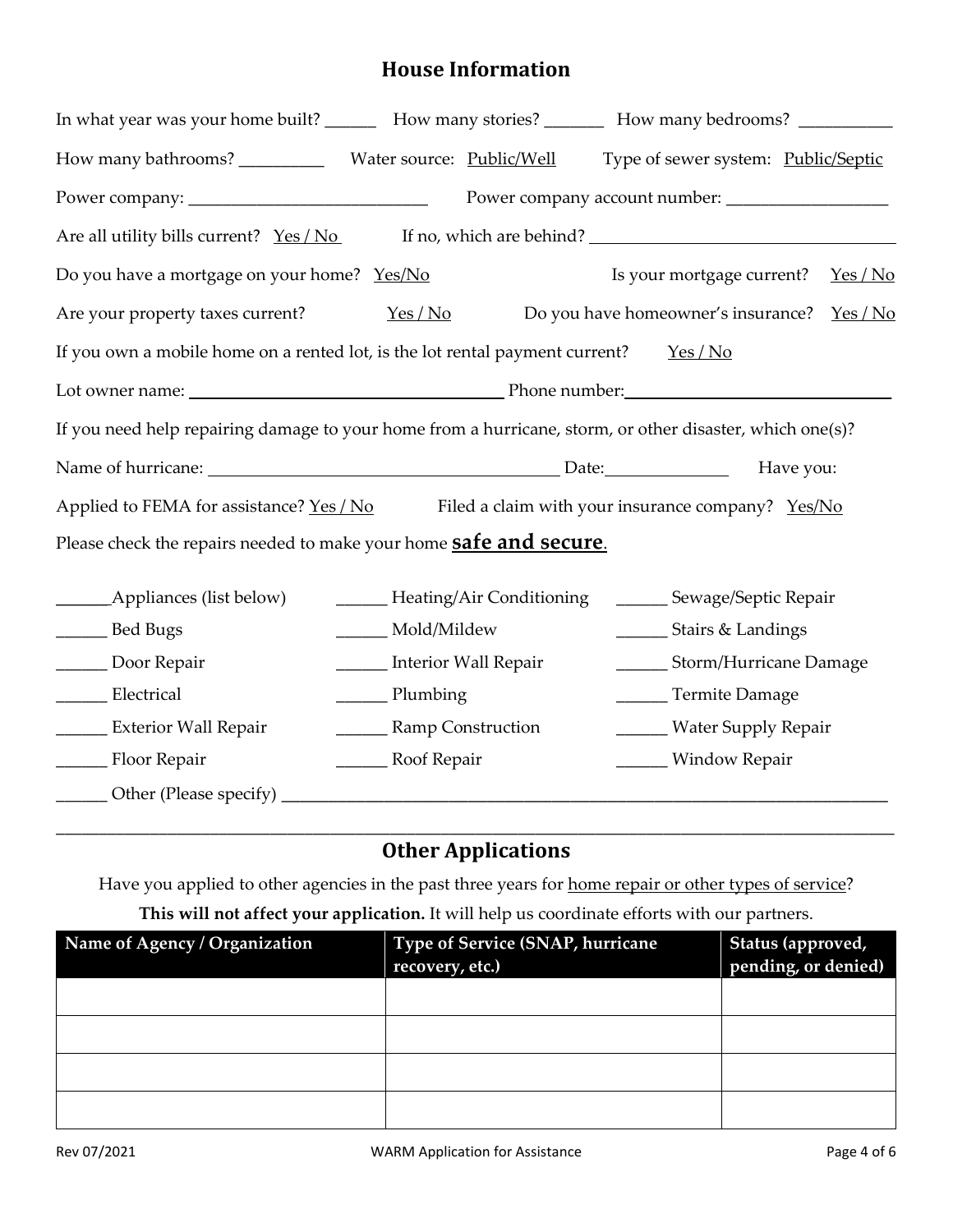## **House Information**

| In what year was your home built? ________ How many stories? ___________ How many bedrooms? _____________ |                                                                                          |                                 |                                     |          |  |  |
|-----------------------------------------------------------------------------------------------------------|------------------------------------------------------------------------------------------|---------------------------------|-------------------------------------|----------|--|--|
|                                                                                                           |                                                                                          |                                 | Type of sewer system: Public/Septic |          |  |  |
|                                                                                                           |                                                                                          |                                 |                                     |          |  |  |
| Are all utility bills current? Yes / No                                                                   |                                                                                          |                                 | If no, which are behind?            |          |  |  |
| Do you have a mortgage on your home? Yes/No                                                               |                                                                                          |                                 | Is your mortgage current?           | $Yes/No$ |  |  |
| Are your property taxes current?                                                                          | Yes/No                                                                                   |                                 | Do you have homeowner's insurance?  | Yes/No   |  |  |
|                                                                                                           | If you own a mobile home on a rented lot, is the lot rental payment current?<br>$Yes/No$ |                                 |                                     |          |  |  |
| Lot owner name: <u>example and the set of the property of Phone number:</u>                               |                                                                                          |                                 |                                     |          |  |  |
| If you need help repairing damage to your home from a hurricane, storm, or other disaster, which one(s)?  |                                                                                          |                                 |                                     |          |  |  |
|                                                                                                           |                                                                                          |                                 |                                     |          |  |  |
| Applied to FEMA for assistance? Yes / No Filed a claim with your insurance company? Yes/No                |                                                                                          |                                 |                                     |          |  |  |
| Please check the repairs needed to make your home <b>safe and secure</b> .                                |                                                                                          |                                 |                                     |          |  |  |
|                                                                                                           |                                                                                          | ______ Heating/Air Conditioning | ______ Sewage/Septic Repair         |          |  |  |
| _______ Bed Bugs                                                                                          | _____ Mold/Mildew                                                                        |                                 | ________ Stairs & Landings          |          |  |  |
| Door Repair                                                                                               | _______ Interior Wall Repair                                                             |                                 | ________ Storm/Hurricane Damage     |          |  |  |
| Electrical                                                                                                | Plumbing                                                                                 |                                 | ______ Termite Damage               |          |  |  |
| <b>Exterior Wall Repair</b>                                                                               | _________ Ramp Construction                                                              |                                 | ______ Water Supply Repair          |          |  |  |
| Floor Repair                                                                                              | _______ Roof Repair                                                                      |                                 | ______ Window Repair                |          |  |  |
|                                                                                                           |                                                                                          |                                 |                                     |          |  |  |

#### \_\_\_\_\_\_\_\_\_\_\_\_\_\_\_\_\_\_\_\_\_\_\_\_\_\_\_\_\_\_\_\_\_\_\_\_\_\_\_\_\_\_\_\_\_\_\_\_\_\_\_\_\_\_\_\_\_\_\_\_\_\_\_\_\_\_\_\_\_\_\_\_\_\_\_\_\_\_\_\_\_\_\_\_\_\_\_\_\_\_\_\_\_\_\_\_\_\_ **Other Applications**

Have you applied to other agencies in the past three years for home repair or other types of service?

**This will not affect your application.** It will help us coordinate efforts with our partners.

| Name of Agency / Organization | Type of Service (SNAP, hurricane<br>recovery, etc.) | Status (approved,<br>pending, or denied) |  |
|-------------------------------|-----------------------------------------------------|------------------------------------------|--|
|                               |                                                     |                                          |  |
|                               |                                                     |                                          |  |
|                               |                                                     |                                          |  |
|                               |                                                     |                                          |  |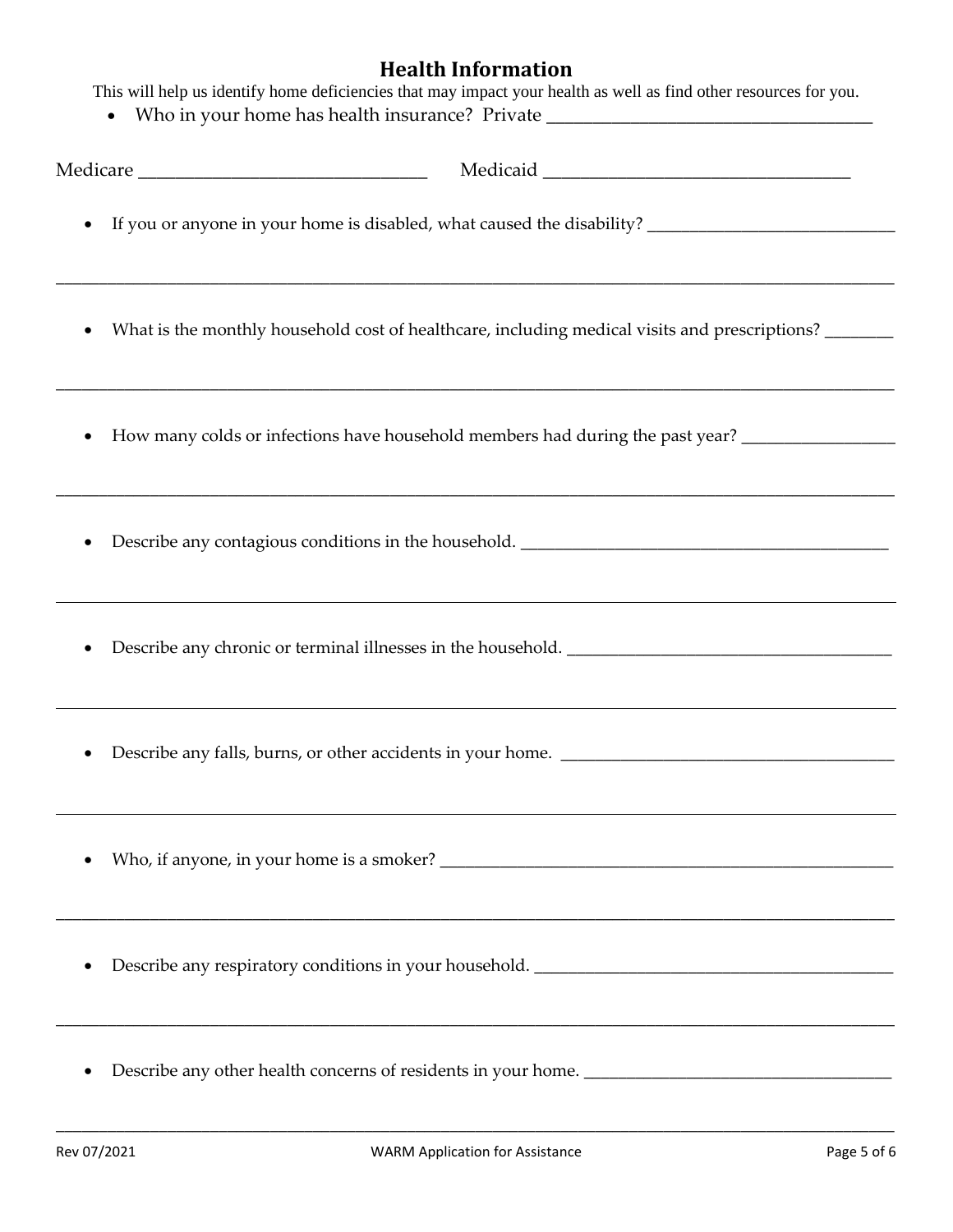# **Health Information**

|  |  |  | This will help us identify home deficiencies that may impact your health as well as find other resources for you. |
|--|--|--|-------------------------------------------------------------------------------------------------------------------|
|  |  |  |                                                                                                                   |

• Who in your home has health insurance? Private \_\_\_\_\_\_\_\_\_\_\_\_\_\_\_\_\_\_\_\_\_\_\_\_\_\_\_\_\_\_\_

| ٠         | What is the monthly household cost of healthcare, including medical visits and prescriptions? ______                  |
|-----------|-----------------------------------------------------------------------------------------------------------------------|
|           | How many colds or infections have household members had during the past year? _____________________                   |
|           | <u> 1990 - Johann Barbara, martxar ann an t-an an t-an ann an t-an an t-an an t-an ann an t-an an t-an an t-an an</u> |
| $\bullet$ |                                                                                                                       |
|           |                                                                                                                       |
|           |                                                                                                                       |
|           |                                                                                                                       |
|           |                                                                                                                       |